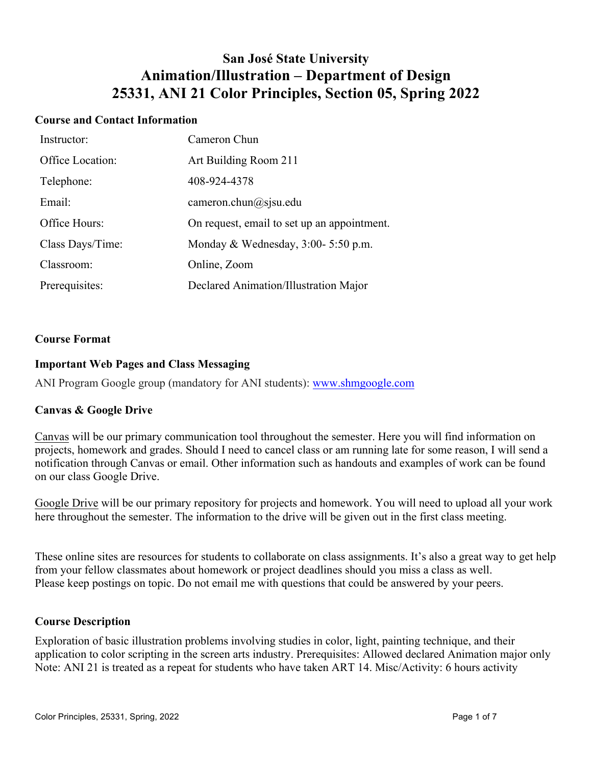# **San José State University Animation/Illustration – Department of Design 25331, ANI 21 Color Principles, Section 05, Spring 2022**

### **Course and Contact Information**

| Instructor:      | Cameron Chun                                |
|------------------|---------------------------------------------|
| Office Location: | Art Building Room 211                       |
| Telephone:       | 408-924-4378                                |
| Email:           | cameron.chun@sjsu.edu                       |
| Office Hours:    | On request, email to set up an appointment. |
| Class Days/Time: | Monday & Wednesday, $3:00-5:50$ p.m.        |
| Classroom:       | Online, Zoom                                |
| Prerequisites:   | Declared Animation/Illustration Major       |

#### **Course Format**

# **Important Web Pages and Class Messaging**

ANI Program Google group (mandatory for ANI students): www.shmgoogle.com

# **Canvas & Google Drive**

Canvas will be our primary communication tool throughout the semester. Here you will find information on projects, homework and grades. Should I need to cancel class or am running late for some reason, I will send a notification through Canvas or email. Other information such as handouts and examples of work can be found on our class Google Drive.

Google Drive will be our primary repository for projects and homework. You will need to upload all your work here throughout the semester. The information to the drive will be given out in the first class meeting.

These online sites are resources for students to collaborate on class assignments. It's also a great way to get help from your fellow classmates about homework or project deadlines should you miss a class as well. Please keep postings on topic. Do not email me with questions that could be answered by your peers.

#### **Course Description**

Exploration of basic illustration problems involving studies in color, light, painting technique, and their application to color scripting in the screen arts industry. Prerequisites: Allowed declared Animation major only Note: ANI 21 is treated as a repeat for students who have taken ART 14. Misc/Activity: 6 hours activity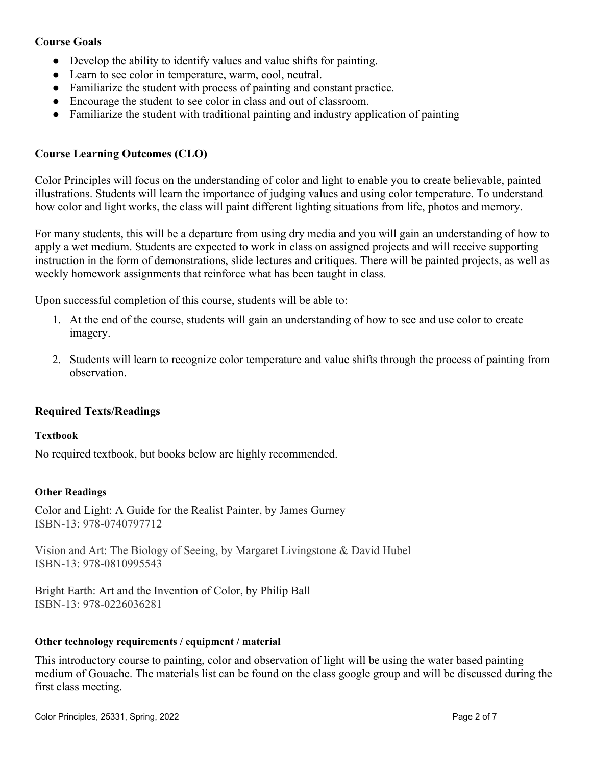# **Course Goals**

- Develop the ability to identify values and value shifts for painting.
- Learn to see color in temperature, warm, cool, neutral.
- Familiarize the student with process of painting and constant practice.
- Encourage the student to see color in class and out of classroom.
- Familiarize the student with traditional painting and industry application of painting

# **Course Learning Outcomes (CLO)**

Color Principles will focus on the understanding of color and light to enable you to create believable, painted illustrations. Students will learn the importance of judging values and using color temperature. To understand how color and light works, the class will paint different lighting situations from life, photos and memory.

For many students, this will be a departure from using dry media and you will gain an understanding of how to apply a wet medium. Students are expected to work in class on assigned projects and will receive supporting instruction in the form of demonstrations, slide lectures and critiques. There will be painted projects, as well as weekly homework assignments that reinforce what has been taught in class.

Upon successful completion of this course, students will be able to:

- 1. At the end of the course, students will gain an understanding of how to see and use color to create imagery.
- 2. Students will learn to recognize color temperature and value shifts through the process of painting from observation.

# **Required Texts/Readings**

#### **Textbook**

No required textbook, but books below are highly recommended.

#### **Other Readings**

Color and Light: A Guide for the Realist Painter, by James Gurney ISBN-13: 978-0740797712

Vision and Art: The Biology of Seeing, by Margaret Livingstone & David Hubel ISBN-13: 978-0810995543

Bright Earth: Art and the Invention of Color, by Philip Ball ISBN-13: 978-0226036281

#### **Other technology requirements / equipment / material**

This introductory course to painting, color and observation of light will be using the water based painting medium of Gouache. The materials list can be found on the class google group and will be discussed during the first class meeting.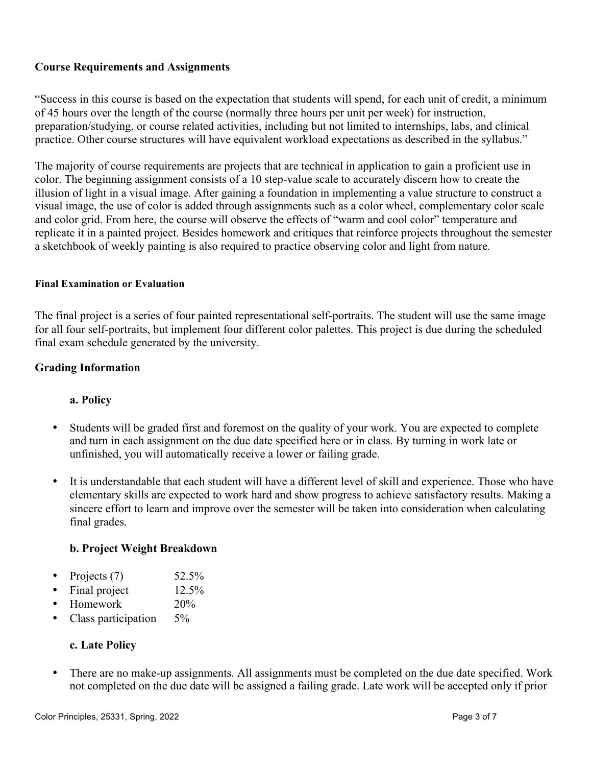# **Course Requirements and Assignments**

"Success in this course is based on the expectation that students will spend, for each unit of credit, a minimum of 45 hours over the length of the course (normally three hours per unit per week) for instruction, preparation/studying, or course related activities, including but not limited to internships, labs, and clinical practice. Other course structures will have equivalent workload expectations as described in the syllabus."

The majority of course requirements are projects that are technical in application to gain a proficient use in color. The beginning assignment consists of a 10 step-value scale to accurately discern how to create the illusion of light in a visual image. After gaining a foundation in implementing a value structure to construct a visual image, the use of color is added through assignments such as a color wheel, complementary color scale and color grid. From here, the course will observe the effects of "warm and cool color" temperature and replicate it in a painted project. Besides homework and critiques that reinforce projects throughout the semester a sketchbook of weekly painting is also required to practice observing color and light from nature.

#### **Final Examination or Evaluation**

The final project is a series of four painted representational self-portraits. The student will use the same image for all four self-portraits, but implement four different color palettes. This project is due during the scheduled final exam schedule generated by the university.

# **Grading Information**

# **a. Policy**

- Students will be graded first and foremost on the quality of your work. You are expected to complete and turn in each assignment on the due date specified here or in class. By turning in work late or unfinished, you will automatically receive a lower or failing grade.
- It is understandable that each student will have a different level of skill and experience. Those who have elementary skills are expected to work hard and show progress to achieve satisfactory results. Making a sincere effort to learn and improve over the semester will be taken into consideration when calculating final grades.

# **b. Project Weight Breakdown**

- Projects  $(7)$  52.5%
- Final project 12.5%
- Homework 20%
- Class participation 5%

# **c. Late Policy**

• There are no make-up assignments. All assignments must be completed on the due date specified. Work not completed on the due date will be assigned a failing grade. Late work will be accepted only if prior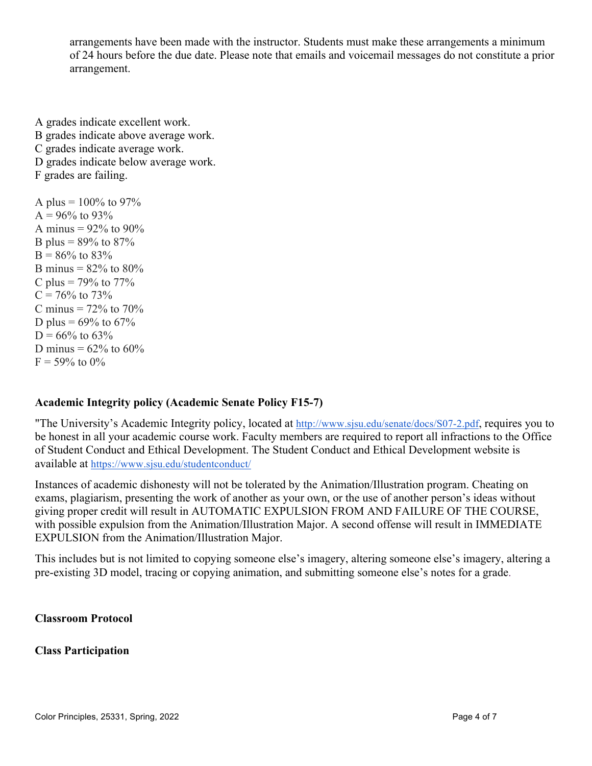arrangements have been made with the instructor. Students must make these arrangements a minimum of 24 hours before the due date. Please note that emails and voicemail messages do not constitute a prior arrangement.

A grades indicate excellent work. B grades indicate above average work. C grades indicate average work. D grades indicate below average work. F grades are failing. A plus =  $100\%$  to 97%  $A = 96\%$  to 93% A minus =  $92\%$  to  $90\%$ B plus =  $89\%$  to  $87\%$ 

 $B = 86\%$  to 83% B minus =  $82\%$  to  $80\%$ C plus =  $79\%$  to  $77\%$  $C = 76\%$  to 73% C minus  $= 72\%$  to  $70\%$ D plus =  $69\%$  to  $67\%$  $D = 66\%$  to 63% D minus =  $62\%$  to  $60\%$  $F = 59\%$  to 0%

# **Academic Integrity policy (Academic Senate Policy F15-7)**

"The University's Academic Integrity policy, located at http://www.sjsu.edu/senate/docs/S07-2.pdf, requires you to be honest in all your academic course work. Faculty members are required to report all infractions to the Office of Student Conduct and Ethical Development. The Student Conduct and Ethical Development website is available at https://www.sjsu.edu/studentconduct/

Instances of academic dishonesty will not be tolerated by the Animation/Illustration program. Cheating on exams, plagiarism, presenting the work of another as your own, or the use of another person's ideas without giving proper credit will result in AUTOMATIC EXPULSION FROM AND FAILURE OF THE COURSE, with possible expulsion from the Animation/Illustration Major. A second offense will result in IMMEDIATE EXPULSION from the Animation/Illustration Major.

This includes but is not limited to copying someone else's imagery, altering someone else's imagery, altering a pre-existing 3D model, tracing or copying animation, and submitting someone else's notes for a grade.

**Classroom Protocol**

# **Class Participation**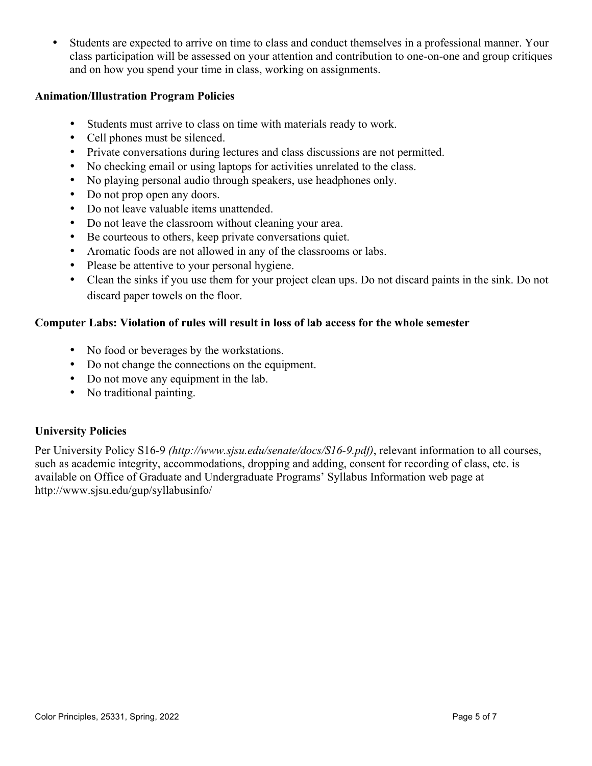• Students are expected to arrive on time to class and conduct themselves in a professional manner. Your class participation will be assessed on your attention and contribution to one-on-one and group critiques and on how you spend your time in class, working on assignments.

# **Animation/Illustration Program Policies**

- Students must arrive to class on time with materials ready to work.
- Cell phones must be silenced.
- Private conversations during lectures and class discussions are not permitted.
- No checking email or using laptops for activities unrelated to the class.
- No playing personal audio through speakers, use headphones only.
- Do not prop open any doors.
- Do not leave valuable items unattended.
- Do not leave the classroom without cleaning your area.
- Be courteous to others, keep private conversations quiet.
- Aromatic foods are not allowed in any of the classrooms or labs.
- Please be attentive to your personal hygiene.
- Clean the sinks if you use them for your project clean ups. Do not discard paints in the sink. Do not discard paper towels on the floor.

# **Computer Labs: Violation of rules will result in loss of lab access for the whole semester**

- No food or beverages by the workstations.
- Do not change the connections on the equipment.
- Do not move any equipment in the lab.
- No traditional painting.

# **University Policies**

Per University Policy S16-9 *(http://www.sjsu.edu/senate/docs/S16-9.pdf)*, relevant information to all courses, such as academic integrity, accommodations, dropping and adding, consent for recording of class, etc. is available on Office of Graduate and Undergraduate Programs' Syllabus Information web page at http://www.sjsu.edu/gup/syllabusinfo/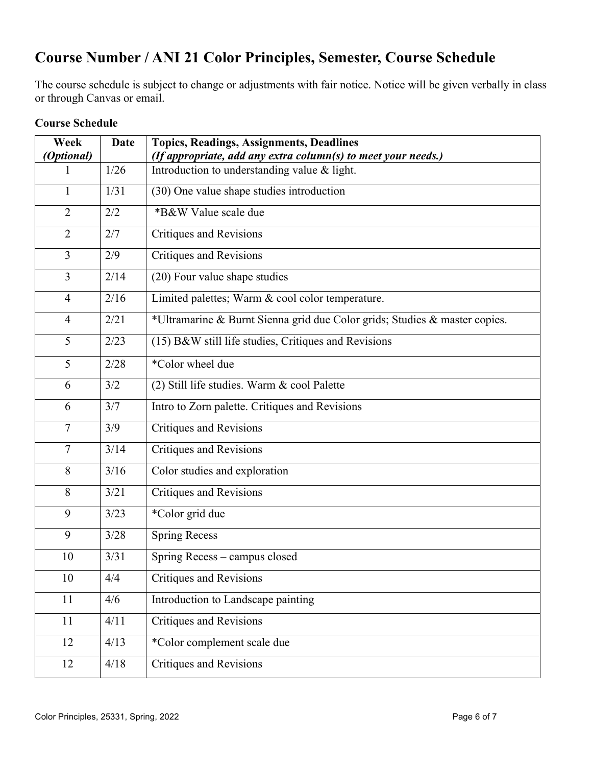# **Course Number / ANI 21 Color Principles, Semester, Course Schedule**

The course schedule is subject to change or adjustments with fair notice. Notice will be given verbally in class or through Canvas or email.

| Week<br><i>(Optional)</i> | <b>Date</b> | <b>Topics, Readings, Assignments, Deadlines</b><br>(If appropriate, add any extra column(s) to meet your needs.) |
|---------------------------|-------------|------------------------------------------------------------------------------------------------------------------|
|                           | 1/26        | Introduction to understanding value $&$ light.                                                                   |
| $\mathbf{1}$              | 1/31        | (30) One value shape studies introduction                                                                        |
| $\overline{2}$            | 2/2         | *B&W Value scale due                                                                                             |
| $\overline{2}$            | 2/7         | Critiques and Revisions                                                                                          |
| $\overline{3}$            | 2/9         | Critiques and Revisions                                                                                          |
| 3                         | 2/14        | (20) Four value shape studies                                                                                    |
| $\overline{4}$            | 2/16        | Limited palettes; Warm & cool color temperature.                                                                 |
| $\overline{4}$            | 2/21        | *Ultramarine & Burnt Sienna grid due Color grids; Studies & master copies.                                       |
| 5                         | 2/23        | $(15)$ B&W still life studies, Critiques and Revisions                                                           |
| 5                         | 2/28        | *Color wheel due                                                                                                 |
| 6                         | 3/2         | (2) Still life studies. Warm & cool Palette                                                                      |
| 6                         | 3/7         | Intro to Zorn palette. Critiques and Revisions                                                                   |
| 7                         | 3/9         | Critiques and Revisions                                                                                          |
| 7                         | 3/14        | <b>Critiques and Revisions</b>                                                                                   |
| 8                         | 3/16        | Color studies and exploration                                                                                    |
| 8                         | 3/21        | <b>Critiques and Revisions</b>                                                                                   |
| 9                         | 3/23        | *Color grid due                                                                                                  |
| 9                         | 3/28        | <b>Spring Recess</b>                                                                                             |
| 10                        | 3/31        | Spring Recess – campus closed                                                                                    |
| 10                        | 4/4         | Critiques and Revisions                                                                                          |
| 11                        | 4/6         | Introduction to Landscape painting                                                                               |
| 11                        | 4/11        | <b>Critiques and Revisions</b>                                                                                   |
| 12                        | 4/13        | *Color complement scale due                                                                                      |
| 12                        | 4/18        | <b>Critiques and Revisions</b>                                                                                   |

# **Course Schedule**